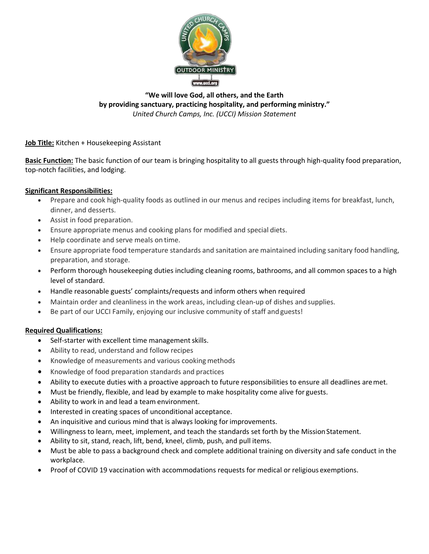

## **"We will love God, all others, and the Earth by providing sanctuary, practicing hospitality, and performing ministry."** *United Church Camps, Inc. (UCCI) Mission Statement*

**Job Title:** Kitchen + Housekeeping Assistant

**Basic Function:** The basic function of our team is bringing hospitality to all guests through high-quality food preparation, top-notch facilities, and lodging.

## **Significant Responsibilities:**

- Prepare and cook high-quality foods as outlined in our menus and recipes including items for breakfast, lunch, dinner, and desserts.
- Assist in food preparation.
- Ensure appropriate menus and cooking plans for modified and special diets.
- Help coordinate and serve meals on time.
- Ensure appropriate food temperature standards and sanitation are maintained including sanitary food handling, preparation, and storage.
- Perform thorough housekeeping duties including cleaning rooms, bathrooms, and all common spaces to a high level of standard.
- Handle reasonable guests' complaints/requests and inform others when required
- Maintain order and cleanliness in the work areas, including clean-up of dishes andsupplies.
- Be part of our UCCI Family, enjoying our inclusive community of staff and guests!

## **Required Qualifications:**

- Self-starter with excellent time management skills.
- Ability to read, understand and follow recipes
- Knowledge of measurements and various cooking methods
- Knowledge of food preparation standards and practices
- Ability to execute duties with a proactive approach to future responsibilities to ensure all deadlines aremet.
- Must be friendly, flexible, and lead by example to make hospitality come alive for guests.
- Ability to work in and lead a team environment.
- Interested in creating spaces of unconditional acceptance.
- An inquisitive and curious mind that is always looking for improvements.
- Willingness to learn, meet, implement, and teach the standards set forth by the Mission Statement.
- Ability to sit, stand, reach, lift, bend, kneel, climb, push, and pull items.
- Must be able to pass a background check and complete additional training on diversity and safe conduct in the workplace.
- Proof of COVID 19 vaccination with accommodations requests for medical or religious exemptions.